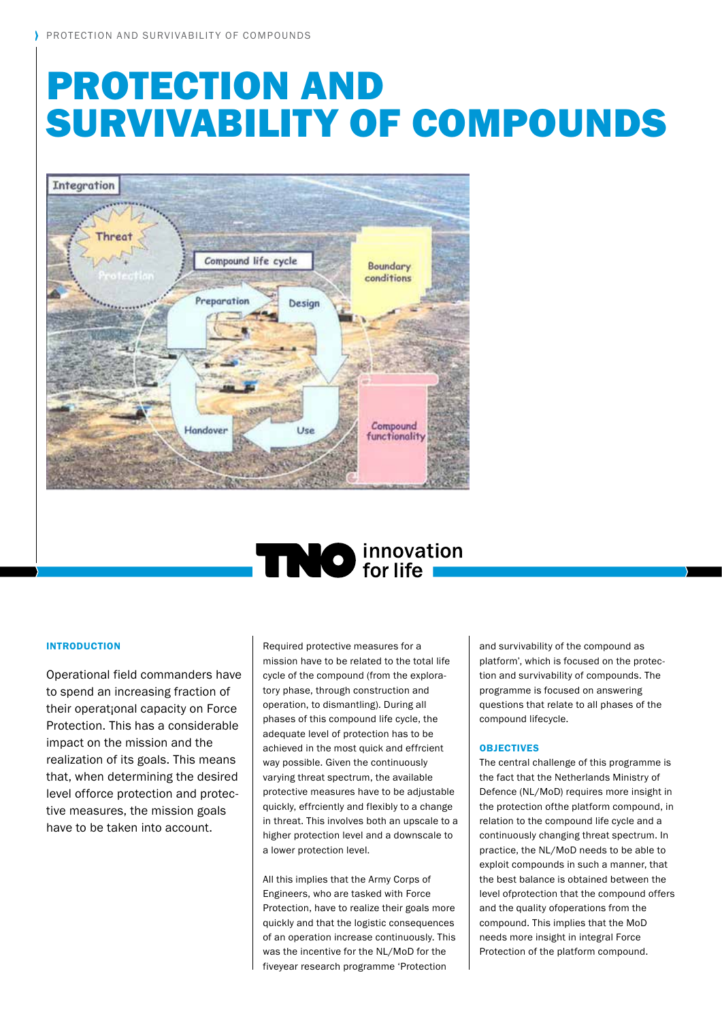# Protection and survivabIlity of compounds



# **TINO** innovation

# **INTRODUCTION**

Operational field commanders have to spend an increasing fraction of their operat<sub>i</sub>onal capacity on Force Protection. This has a considerable impact on the mission and the realization of its goals. This means that, when determining the desired level offorce protection and protective measures, the mission goals have to be taken into account.

Required protective measures for a mission have to be related to the total life cycle of the compound (from the exploratory phase, through construction and operation, to dismantling). During all phases of this compound life cycle, the adequate level of protection has to be achieved in the most quick and effrcient way possible. Given the continuously varying threat spectrum, the available protective measures have to be adjustable quickly, effrciently and flexibly to a change in threat. This involves both an upscale to a higher protection level and a downscale to a lower protection level.

All this implies that the Army Corps of Engineers, who are tasked with Force Protection, have to realize their goals more quickly and that the logistic consequences of an operation increase continuously. This was the incentive for the NL/MoD for the fiveyear research programme 'Protection

and survivability of the compound as platform', which is focused on the protection and survivability of compounds. The programme is focused on answering questions that relate to all phases of the compound lifecycle.

# **OBJECTIVES**

The central challenge of this programme is the fact that the Netherlands Ministry of Defence (NL/MoD) requires more insight in the protection ofthe platform compound, in relation to the compound life cycle and a continuously changing threat spectrum. In practice, the NL/MoD needs to be able to exploit compounds in such a manner, that the best balance is obtained between the level ofprotection that the compound offers and the quality ofoperations from the compound. This implies that the MoD needs more insight in integral Force Protection of the platform compound.